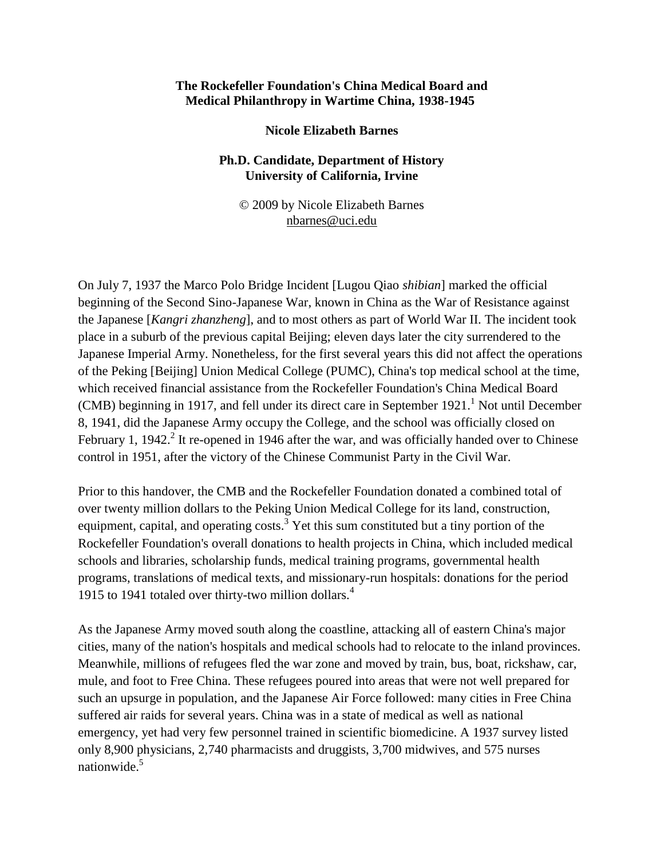## **The Rockefeller Foundation's China Medical Board and Medical Philanthropy in Wartime China, 1938-1945**

## **Nicole Elizabeth Barnes**

## **Ph.D. Candidate, Department of History University of California, Irvine**

© 2009 by Nicole Elizabeth Barnes [nbarnes@uci.edu](mailto:nbarnes@uci.edu)

On July 7, 1937 the Marco Polo Bridge Incident [Lugou Qiao *shibian*] marked the official beginning of the Second Sino-Japanese War, known in China as the War of Resistance against the Japanese [*Kangri zhanzheng*], and to most others as part of World War II. The incident took place in a suburb of the previous capital Beijing; eleven days later the city surrendered to the Japanese Imperial Army. Nonetheless, for the first several years this did not affect the operations of the Peking [Beijing] Union Medical College (PUMC), China's top medical school at the time, which received financial assistance from the Rockefeller Foundation's China Medical Board (CMB) beginning in 1917, and fell under its direct care in September 1921.<sup>1</sup> Not until December 8, 1941, did the Japanese Army occupy the College, and the school was officially closed on February 1, 1942.<sup>2</sup> It re-opened in 1946 after the war, and was officially handed over to Chinese control in 1951, after the victory of the Chinese Communist Party in the Civil War.

Prior to this handover, the CMB and the Rockefeller Foundation donated a combined total of over twenty million dollars to the Peking Union Medical College for its land, construction, equipment, capital, and operating costs.<sup>3</sup> Yet this sum constituted but a tiny portion of the Rockefeller Foundation's overall donations to health projects in China, which included medical schools and libraries, scholarship funds, medical training programs, governmental health programs, translations of medical texts, and missionary-run hospitals: donations for the period 1915 to 1941 totaled over thirty-two million dollars.<sup>4</sup>

As the Japanese Army moved south along the coastline, attacking all of eastern China's major cities, many of the nation's hospitals and medical schools had to relocate to the inland provinces. Meanwhile, millions of refugees fled the war zone and moved by train, bus, boat, rickshaw, car, mule, and foot to Free China. These refugees poured into areas that were not well prepared for such an upsurge in population, and the Japanese Air Force followed: many cities in Free China suffered air raids for several years. China was in a state of medical as well as national emergency, yet had very few personnel trained in scientific biomedicine. A 1937 survey listed only 8,900 physicians, 2,740 pharmacists and druggists, 3,700 midwives, and 575 nurses nationwide.<sup>5</sup>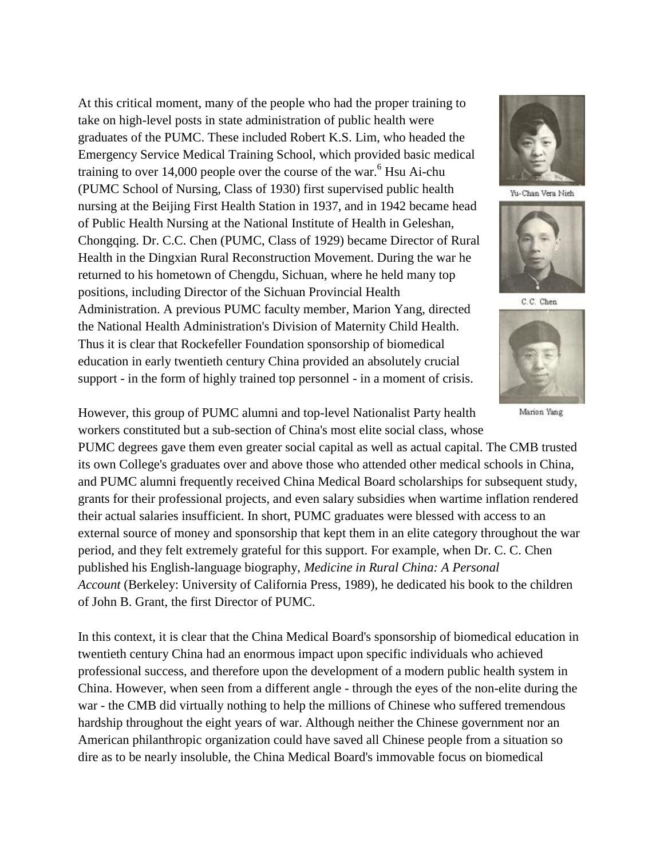At this critical moment, many of the people who had the proper training to take on high-level posts in state administration of public health were graduates of the PUMC. These included Robert K.S. Lim, who headed the Emergency Service Medical Training School, which provided basic medical training to over  $14,000$  people over the course of the war.<sup>6</sup> Hsu Ai-chu (PUMC School of Nursing, Class of 1930) first supervised public health nursing at the Beijing First Health Station in 1937, and in 1942 became head of Public Health Nursing at the National Institute of Health in Geleshan, Chongqing. Dr. C.C. Chen (PUMC, Class of 1929) became Director of Rural Health in the Dingxian Rural Reconstruction Movement. During the war he returned to his hometown of Chengdu, Sichuan, where he held many top positions, including Director of the Sichuan Provincial Health Administration. A previous PUMC faculty member, Marion Yang, directed the National Health Administration's Division of Maternity Child Health. Thus it is clear that Rockefeller Foundation sponsorship of biomedical education in early twentieth century China provided an absolutely crucial support - in the form of highly trained top personnel - in a moment of crisis.



Yu-Chan Vera Nieh



C.C. Chen



Marion Yang

However, this group of PUMC alumni and top-level Nationalist Party health workers constituted but a sub-section of China's most elite social class, whose

PUMC degrees gave them even greater social capital as well as actual capital. The CMB trusted its own College's graduates over and above those who attended other medical schools in China, and PUMC alumni frequently received China Medical Board scholarships for subsequent study, grants for their professional projects, and even salary subsidies when wartime inflation rendered their actual salaries insufficient. In short, PUMC graduates were blessed with access to an external source of money and sponsorship that kept them in an elite category throughout the war period, and they felt extremely grateful for this support. For example, when Dr. C. C. Chen published his English-language biography, *Medicine in Rural China: A Personal Account* (Berkeley: University of California Press, 1989), he dedicated his book to the children of John B. Grant, the first Director of PUMC.

In this context, it is clear that the China Medical Board's sponsorship of biomedical education in twentieth century China had an enormous impact upon specific individuals who achieved professional success, and therefore upon the development of a modern public health system in China. However, when seen from a different angle - through the eyes of the non-elite during the war - the CMB did virtually nothing to help the millions of Chinese who suffered tremendous hardship throughout the eight years of war. Although neither the Chinese government nor an American philanthropic organization could have saved all Chinese people from a situation so dire as to be nearly insoluble, the China Medical Board's immovable focus on biomedical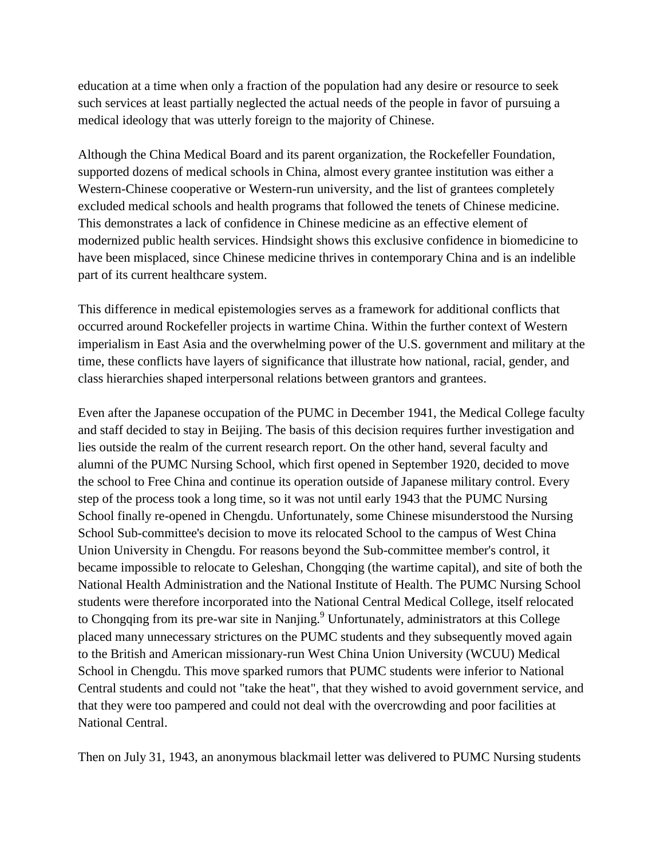education at a time when only a fraction of the population had any desire or resource to seek such services at least partially neglected the actual needs of the people in favor of pursuing a medical ideology that was utterly foreign to the majority of Chinese.

Although the China Medical Board and its parent organization, the Rockefeller Foundation, supported dozens of medical schools in China, almost every grantee institution was either a Western-Chinese cooperative or Western-run university, and the list of grantees completely excluded medical schools and health programs that followed the tenets of Chinese medicine. This demonstrates a lack of confidence in Chinese medicine as an effective element of modernized public health services. Hindsight shows this exclusive confidence in biomedicine to have been misplaced, since Chinese medicine thrives in contemporary China and is an indelible part of its current healthcare system.

This difference in medical epistemologies serves as a framework for additional conflicts that occurred around Rockefeller projects in wartime China. Within the further context of Western imperialism in East Asia and the overwhelming power of the U.S. government and military at the time, these conflicts have layers of significance that illustrate how national, racial, gender, and class hierarchies shaped interpersonal relations between grantors and grantees.

Even after the Japanese occupation of the PUMC in December 1941, the Medical College faculty and staff decided to stay in Beijing. The basis of this decision requires further investigation and lies outside the realm of the current research report. On the other hand, several faculty and alumni of the PUMC Nursing School, which first opened in September 1920, decided to move the school to Free China and continue its operation outside of Japanese military control. Every step of the process took a long time, so it was not until early 1943 that the PUMC Nursing School finally re-opened in Chengdu. Unfortunately, some Chinese misunderstood the Nursing School Sub-committee's decision to move its relocated School to the campus of West China Union University in Chengdu. For reasons beyond the Sub-committee member's control, it became impossible to relocate to Geleshan, Chongqing (the wartime capital), and site of both the National Health Administration and the National Institute of Health. The PUMC Nursing School students were therefore incorporated into the National Central Medical College, itself relocated to Chongqing from its pre-war site in Nanjing.<sup>9</sup> Unfortunately, administrators at this College placed many unnecessary strictures on the PUMC students and they subsequently moved again to the British and American missionary-run West China Union University (WCUU) Medical School in Chengdu. This move sparked rumors that PUMC students were inferior to National Central students and could not "take the heat", that they wished to avoid government service, and that they were too pampered and could not deal with the overcrowding and poor facilities at National Central.

Then on July 31, 1943, an anonymous blackmail letter was delivered to PUMC Nursing students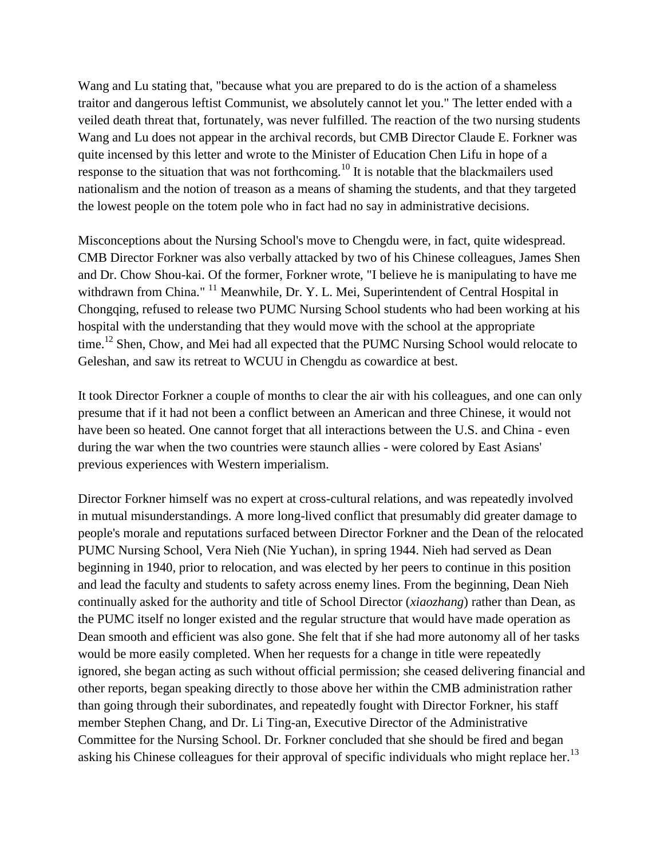Wang and Lu stating that, "because what you are prepared to do is the action of a shameless traitor and dangerous leftist Communist, we absolutely cannot let you." The letter ended with a veiled death threat that, fortunately, was never fulfilled. The reaction of the two nursing students Wang and Lu does not appear in the archival records, but CMB Director Claude E. Forkner was quite incensed by this letter and wrote to the Minister of Education Chen Lifu in hope of a response to the situation that was not forthcoming.<sup>10</sup> It is notable that the blackmailers used nationalism and the notion of treason as a means of shaming the students, and that they targeted the lowest people on the totem pole who in fact had no say in administrative decisions.

Misconceptions about the Nursing School's move to Chengdu were, in fact, quite widespread. CMB Director Forkner was also verbally attacked by two of his Chinese colleagues, James Shen and Dr. Chow Shou-kai. Of the former, Forkner wrote, "I believe he is manipulating to have me withdrawn from China."<sup>11</sup> Meanwhile, Dr. Y. L. Mei, Superintendent of Central Hospital in Chongqing, refused to release two PUMC Nursing School students who had been working at his hospital with the understanding that they would move with the school at the appropriate time.<sup>12</sup> Shen, Chow, and Mei had all expected that the PUMC Nursing School would relocate to Geleshan, and saw its retreat to WCUU in Chengdu as cowardice at best.

It took Director Forkner a couple of months to clear the air with his colleagues, and one can only presume that if it had not been a conflict between an American and three Chinese, it would not have been so heated. One cannot forget that all interactions between the U.S. and China - even during the war when the two countries were staunch allies - were colored by East Asians' previous experiences with Western imperialism.

Director Forkner himself was no expert at cross-cultural relations, and was repeatedly involved in mutual misunderstandings. A more long-lived conflict that presumably did greater damage to people's morale and reputations surfaced between Director Forkner and the Dean of the relocated PUMC Nursing School, Vera Nieh (Nie Yuchan), in spring 1944. Nieh had served as Dean beginning in 1940, prior to relocation, and was elected by her peers to continue in this position and lead the faculty and students to safety across enemy lines. From the beginning, Dean Nieh continually asked for the authority and title of School Director (*xiaozhang*) rather than Dean, as the PUMC itself no longer existed and the regular structure that would have made operation as Dean smooth and efficient was also gone. She felt that if she had more autonomy all of her tasks would be more easily completed. When her requests for a change in title were repeatedly ignored, she began acting as such without official permission; she ceased delivering financial and other reports, began speaking directly to those above her within the CMB administration rather than going through their subordinates, and repeatedly fought with Director Forkner, his staff member Stephen Chang, and Dr. Li Ting-an, Executive Director of the Administrative Committee for the Nursing School. Dr. Forkner concluded that she should be fired and began asking his Chinese colleagues for their approval of specific individuals who might replace her.<sup>13</sup>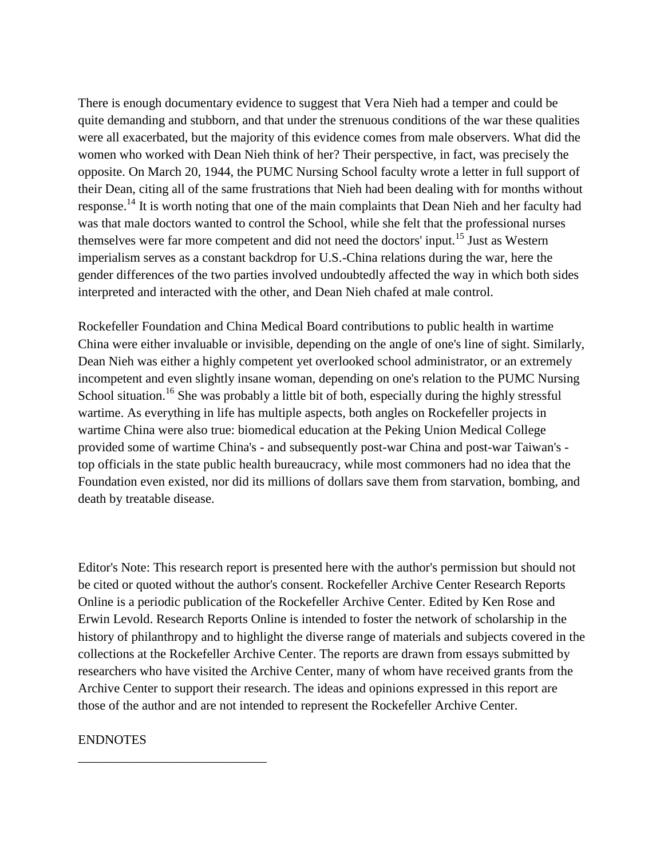There is enough documentary evidence to suggest that Vera Nieh had a temper and could be quite demanding and stubborn, and that under the strenuous conditions of the war these qualities were all exacerbated, but the majority of this evidence comes from male observers. What did the women who worked with Dean Nieh think of her? Their perspective, in fact, was precisely the opposite. On March 20, 1944, the PUMC Nursing School faculty wrote a letter in full support of their Dean, citing all of the same frustrations that Nieh had been dealing with for months without response.<sup>14</sup> It is worth noting that one of the main complaints that Dean Nieh and her faculty had was that male doctors wanted to control the School, while she felt that the professional nurses themselves were far more competent and did not need the doctors' input.<sup>15</sup> Just as Western imperialism serves as a constant backdrop for U.S.-China relations during the war, here the gender differences of the two parties involved undoubtedly affected the way in which both sides interpreted and interacted with the other, and Dean Nieh chafed at male control.

Rockefeller Foundation and China Medical Board contributions to public health in wartime China were either invaluable or invisible, depending on the angle of one's line of sight. Similarly, Dean Nieh was either a highly competent yet overlooked school administrator, or an extremely incompetent and even slightly insane woman, depending on one's relation to the PUMC Nursing School situation.<sup>16</sup> She was probably a little bit of both, especially during the highly stressful wartime. As everything in life has multiple aspects, both angles on Rockefeller projects in wartime China were also true: biomedical education at the Peking Union Medical College provided some of wartime China's - and subsequently post-war China and post-war Taiwan's top officials in the state public health bureaucracy, while most commoners had no idea that the Foundation even existed, nor did its millions of dollars save them from starvation, bombing, and death by treatable disease.

Editor's Note: This research report is presented here with the author's permission but should not be cited or quoted without the author's consent. Rockefeller Archive Center Research Reports Online is a periodic publication of the Rockefeller Archive Center. Edited by Ken Rose and Erwin Levold. Research Reports Online is intended to foster the network of scholarship in the history of philanthropy and to highlight the diverse range of materials and subjects covered in the collections at the Rockefeller Archive Center. The reports are drawn from essays submitted by researchers who have visited the Archive Center, many of whom have received grants from the Archive Center to support their research. The ideas and opinions expressed in this report are those of the author and are not intended to represent the Rockefeller Archive Center.

## ENDNOTES

\_\_\_\_\_\_\_\_\_\_\_\_\_\_\_\_\_\_\_\_\_\_\_\_\_\_\_\_\_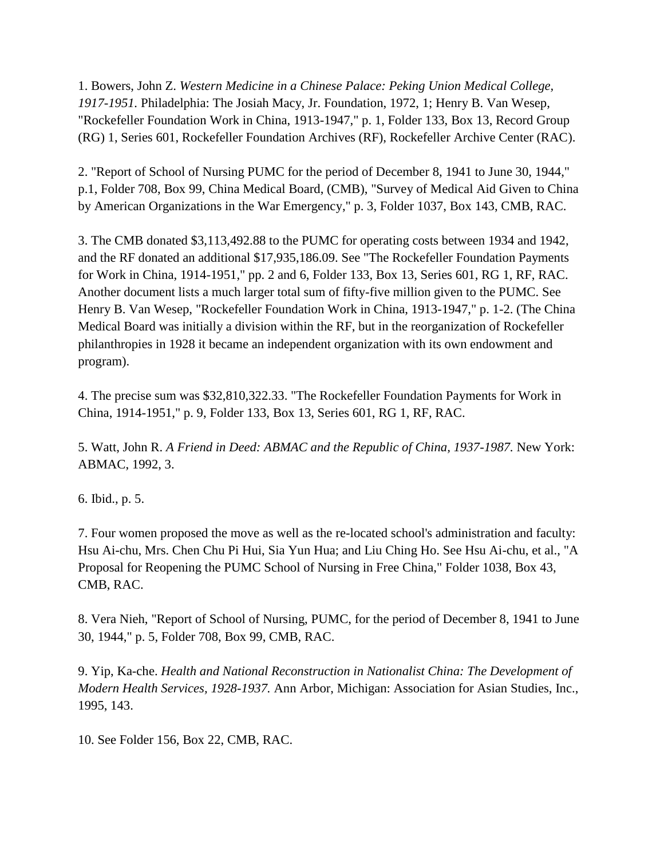1. Bowers, John Z. *Western Medicine in a Chinese Palace: Peking Union Medical College, 1917-1951.* Philadelphia: The Josiah Macy, Jr. Foundation, 1972, 1; Henry B. Van Wesep, "Rockefeller Foundation Work in China, 1913-1947," p. 1, Folder 133, Box 13, Record Group (RG) 1, Series 601, Rockefeller Foundation Archives (RF), Rockefeller Archive Center (RAC).

2. "Report of School of Nursing PUMC for the period of December 8, 1941 to June 30, 1944," p.1, Folder 708, Box 99, China Medical Board, (CMB), "Survey of Medical Aid Given to China by American Organizations in the War Emergency," p. 3, Folder 1037, Box 143, CMB, RAC.

3. The CMB donated \$3,113,492.88 to the PUMC for operating costs between 1934 and 1942, and the RF donated an additional \$17,935,186.09. See "The Rockefeller Foundation Payments for Work in China, 1914-1951," pp. 2 and 6, Folder 133, Box 13, Series 601, RG 1, RF, RAC. Another document lists a much larger total sum of fifty-five million given to the PUMC. See Henry B. Van Wesep, "Rockefeller Foundation Work in China, 1913-1947," p. 1-2. (The China Medical Board was initially a division within the RF, but in the reorganization of Rockefeller philanthropies in 1928 it became an independent organization with its own endowment and program).

4. The precise sum was \$32,810,322.33. "The Rockefeller Foundation Payments for Work in China, 1914-1951," p. 9, Folder 133, Box 13, Series 601, RG 1, RF, RAC.

5. Watt, John R. *A Friend in Deed: ABMAC and the Republic of China, 1937-1987.* New York: ABMAC, 1992, 3.

6. Ibid., p. 5.

7. Four women proposed the move as well as the re-located school's administration and faculty: Hsu Ai-chu, Mrs. Chen Chu Pi Hui, Sia Yun Hua; and Liu Ching Ho. See Hsu Ai-chu, et al., "A Proposal for Reopening the PUMC School of Nursing in Free China," Folder 1038, Box 43, CMB, RAC.

8. Vera Nieh, "Report of School of Nursing, PUMC, for the period of December 8, 1941 to June 30, 1944," p. 5, Folder 708, Box 99, CMB, RAC.

9. Yip, Ka-che. *Health and National Reconstruction in Nationalist China: The Development of Modern Health Services, 1928-1937.* Ann Arbor, Michigan: Association for Asian Studies, Inc., 1995, 143.

10. See Folder 156, Box 22, CMB, RAC.